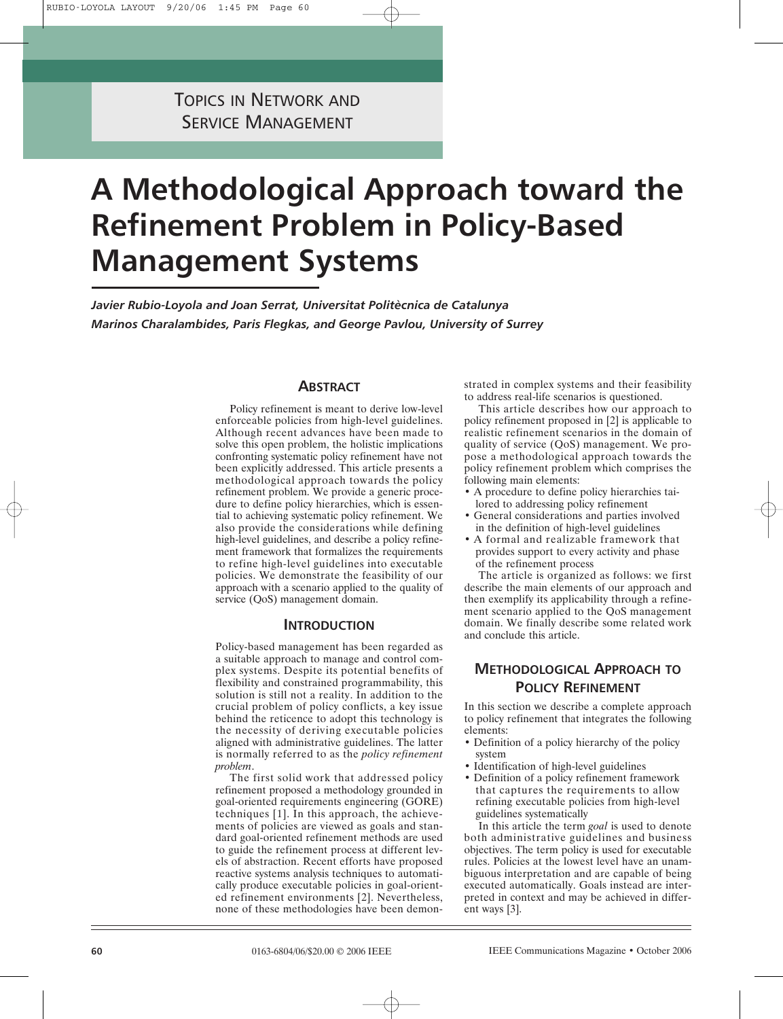# **A Methodological Approach toward the Refinement Problem in Policy-Based Management Systems**

*Javier Rubio-Loyola and Joan Serrat, Universitat Politècnica de Catalunya Marinos Charalambides, Paris Flegkas, and George Pavlou, University of Surrey*

# **ABSTRACT**

Policy refinement is meant to derive low-level enforceable policies from high-level guidelines. Although recent advances have been made to solve this open problem, the holistic implications confronting systematic policy refinement have not been explicitly addressed. This article presents a methodological approach towards the policy refinement problem. We provide a generic procedure to define policy hierarchies, which is essential to achieving systematic policy refinement. We also provide the considerations while defining high-level guidelines, and describe a policy refinement framework that formalizes the requirements to refine high-level guidelines into executable policies. We demonstrate the feasibility of our approach with a scenario applied to the quality of service (QoS) management domain.

## **INTRODUCTION**

Policy-based management has been regarded as a suitable approach to manage and control complex systems. Despite its potential benefits of flexibility and constrained programmability, this solution is still not a reality. In addition to the crucial problem of policy conflicts, a key issue behind the reticence to adopt this technology is the necessity of deriving executable policies aligned with administrative guidelines. The latter is normally referred to as the *policy refinement problem*.

The first solid work that addressed policy refinement proposed a methodology grounded in goal-oriented requirements engineering (GORE) techniques [1]. In this approach, the achievements of policies are viewed as goals and standard goal-oriented refinement methods are used to guide the refinement process at different levels of abstraction. Recent efforts have proposed reactive systems analysis techniques to automatically produce executable policies in goal-oriented refinement environments [2]. Nevertheless, none of these methodologies have been demonstrated in complex systems and their feasibility to address real-life scenarios is questioned.

This article describes how our approach to policy refinement proposed in [2] is applicable to realistic refinement scenarios in the domain of quality of service (QoS) management. We propose a methodological approach towards the policy refinement problem which comprises the following main elements:

- A procedure to define policy hierarchies tailored to addressing policy refinement
- General considerations and parties involved in the definition of high-level guidelines
- A formal and realizable framework that provides support to every activity and phase of the refinement process

The article is organized as follows: we first describe the main elements of our approach and then exemplify its applicability through a refinement scenario applied to the QoS management domain. We finally describe some related work and conclude this article.

# **METHODOLOGICAL APPROACH TO POLICY REFINEMENT**

In this section we describe a complete approach to policy refinement that integrates the following elements:

- Definition of a policy hierarchy of the policy system
- Identification of high-level guidelines
- Definition of a policy refinement framework that captures the requirements to allow refining executable policies from high-level guidelines systematically

In this article the term *goal* is used to denote both administrative guidelines and business objectives. The term policy is used for executable rules. Policies at the lowest level have an unambiguous interpretation and are capable of being executed automatically. Goals instead are interpreted in context and may be achieved in different ways [3].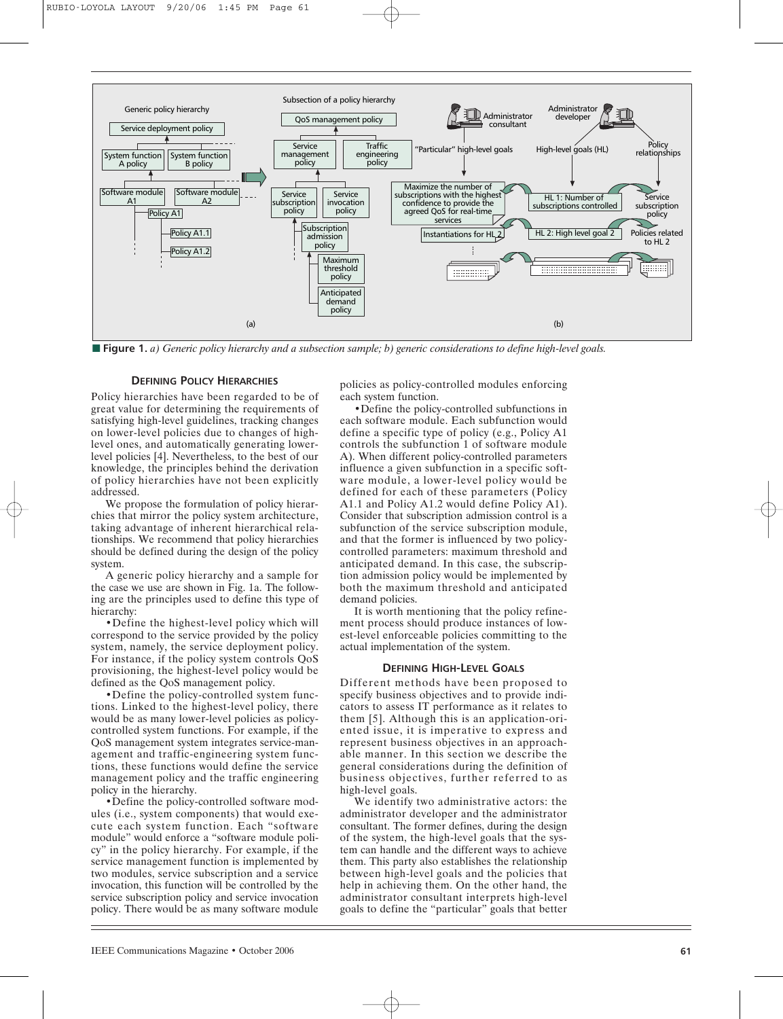

■ **Figure 1.** *a*) Generic policy hierarchy and a subsection sample; b) generic considerations to define high-level goals.

#### **DEFINING POLICY HIERARCHIES**

Policy hierarchies have been regarded to be of great value for determining the requirements of satisfying high-level guidelines, tracking changes on lower-level policies due to changes of highlevel ones, and automatically generating lowerlevel policies [4]. Nevertheless, to the best of our knowledge, the principles behind the derivation of policy hierarchies have not been explicitly addressed.

We propose the formulation of policy hierarchies that mirror the policy system architecture, taking advantage of inherent hierarchical relationships. We recommend that policy hierarchies should be defined during the design of the policy system.

A generic policy hierarchy and a sample for the case we use are shown in Fig. 1a. The following are the principles used to define this type of hierarchy:

•Define the highest-level policy which will correspond to the service provided by the policy system, namely, the service deployment policy. For instance, if the policy system controls QoS provisioning, the highest-level policy would be defined as the QoS management policy.

•Define the policy-controlled system functions. Linked to the highest-level policy, there would be as many lower-level policies as policycontrolled system functions. For example, if the QoS management system integrates service-management and traffic-engineering system functions, these functions would define the service management policy and the traffic engineering policy in the hierarchy.

•Define the policy-controlled software modules (i.e., system components) that would execute each system function. Each "software module" would enforce a "software module policy" in the policy hierarchy. For example, if the service management function is implemented by two modules, service subscription and a service invocation, this function will be controlled by the service subscription policy and service invocation policy. There would be as many software module policies as policy-controlled modules enforcing each system function.

•Define the policy-controlled subfunctions in each software module. Each subfunction would define a specific type of policy (e.g., Policy A1 controls the subfunction 1 of software module A). When different policy-controlled parameters influence a given subfunction in a specific software module, a lower-level policy would be defined for each of these parameters (Policy A1.1 and Policy A1.2 would define Policy A1). Consider that subscription admission control is a subfunction of the service subscription module, and that the former is influenced by two policycontrolled parameters: maximum threshold and anticipated demand. In this case, the subscription admission policy would be implemented by both the maximum threshold and anticipated demand policies.

It is worth mentioning that the policy refinement process should produce instances of lowest-level enforceable policies committing to the actual implementation of the system.

#### **DEFINING HIGH-LEVEL GOALS**

Different methods have been proposed to specify business objectives and to provide indicators to assess IT performance as it relates to them [5]. Although this is an application-oriented issue, it is imperative to express and represent business objectives in an approachable manner. In this section we describe the general considerations during the definition of business objectives, further referred to as high-level goals.

We identify two administrative actors: the administrator developer and the administrator consultant. The former defines, during the design of the system, the high-level goals that the system can handle and the different ways to achieve them. This party also establishes the relationship between high-level goals and the policies that help in achieving them. On the other hand, the administrator consultant interprets high-level goals to define the "particular" goals that better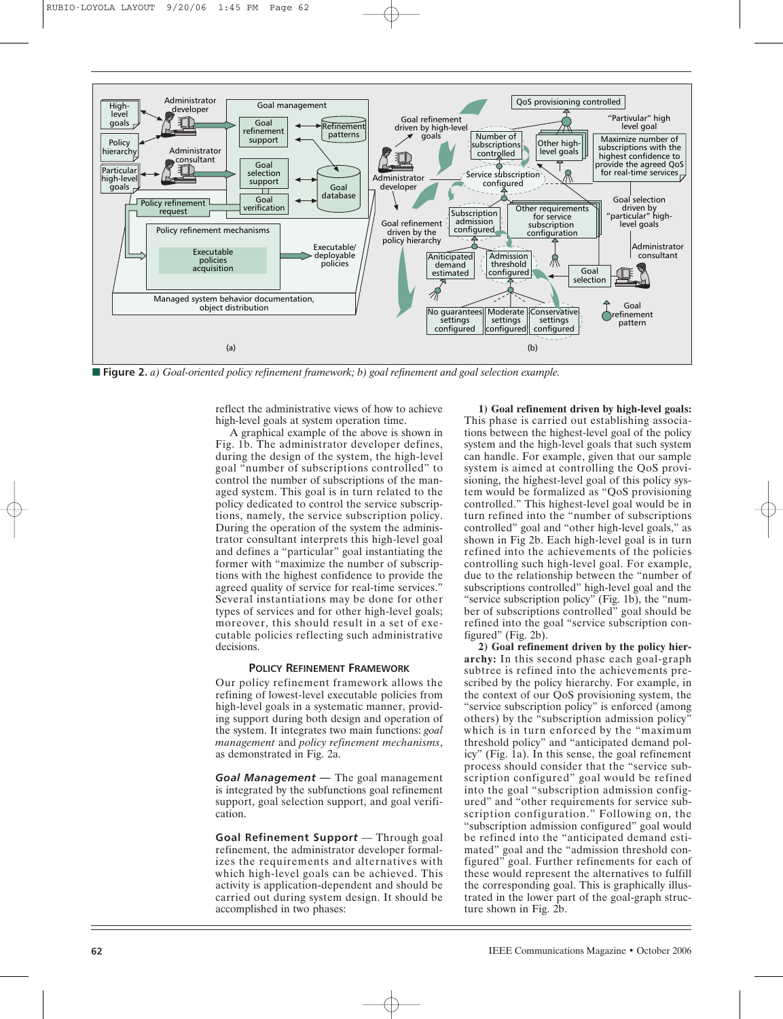

**■ Figure 2.** *a) Goal-oriented policy refinement framework; b) goal refinement and goal selection example.*

reflect the administrative views of how to achieve high-level goals at system operation time.

A graphical example of the above is shown in Fig. 1b. The administrator developer defines, during the design of the system, the high-level goal "number of subscriptions controlled" to control the number of subscriptions of the managed system. This goal is in turn related to the policy dedicated to control the service subscriptions, namely, the service subscription policy. During the operation of the system the administrator consultant interprets this high-level goal and defines a "particular" goal instantiating the former with "maximize the number of subscriptions with the highest confidence to provide the agreed quality of service for real-time services." Several instantiations may be done for other types of services and for other high-level goals; moreover, this should result in a set of executable policies reflecting such administrative decisions.

#### **POLICY REFINEMENT FRAMEWORK**

Our policy refinement framework allows the refining of lowest-level executable policies from high-level goals in a systematic manner, providing support during both design and operation of the system. It integrates two main functions: *goal management* and *policy refinement mechanisms*, as demonstrated in Fig. 2a.

*Goal Management —* The goal management is integrated by the subfunctions goal refinement support, goal selection support, and goal verification.

**Goal Refinement Suppor***t* — Through goal refinement, the administrator developer formalizes the requirements and alternatives with which high-level goals can be achieved. This activity is application-dependent and should be carried out during system design. It should be accomplished in two phases:

**1) Goal refinement driven by high-level goals:** This phase is carried out establishing associations between the highest-level goal of the policy system and the high-level goals that such system can handle. For example, given that our sample system is aimed at controlling the QoS provisioning, the highest-level goal of this policy system would be formalized as "QoS provisioning controlled." This highest-level goal would be in turn refined into the "number of subscriptions controlled" goal and "other high-level goals," as shown in Fig 2b. Each high-level goal is in turn refined into the achievements of the policies controlling such high-level goal. For example, due to the relationship between the "number of subscriptions controlled" high-level goal and the "service subscription policy" (Fig. 1b), the "number of subscriptions controlled" goal should be refined into the goal "service subscription configured" (Fig. 2b).

**2) Goal refinement driven by the policy hierarchy:** In this second phase each goal-graph subtree is refined into the achievements prescribed by the policy hierarchy. For example, in the context of our QoS provisioning system, the "service subscription policy" is enforced (among others) by the "subscription admission policy" which is in turn enforced by the "maximum threshold policy" and "anticipated demand policy" (Fig. 1a). In this sense, the goal refinement process should consider that the "service subscription configured" goal would be refined into the goal "subscription admission configured" and "other requirements for service subscription configuration." Following on, the "subscription admission configured" goal would be refined into the "anticipated demand estimated" goal and the "admission threshold configured" goal. Further refinements for each of these would represent the alternatives to fulfill the corresponding goal. This is graphically illustrated in the lower part of the goal-graph structure shown in Fig. 2b.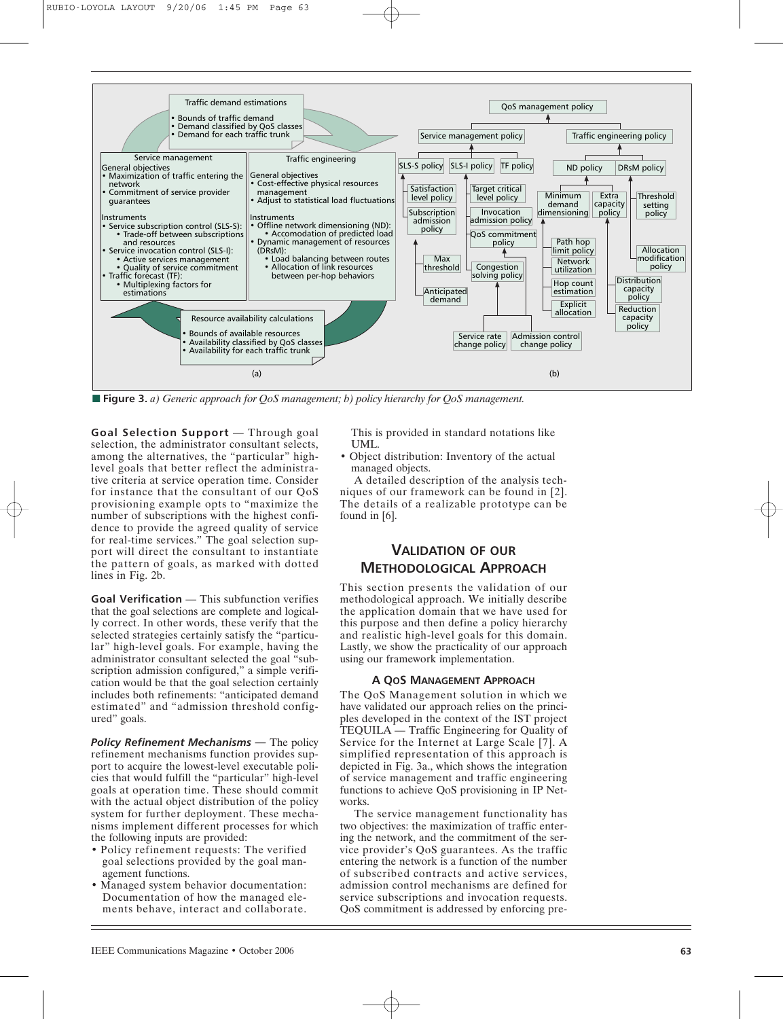

**■ Figure 3.** *a) Generic approach for QoS management; b) policy hierarchy for QoS management.*

**Goal Selection Support** — Through goal selection, the administrator consultant selects, among the alternatives, the "particular" highlevel goals that better reflect the administrative criteria at service operation time. Consider for instance that the consultant of our QoS provisioning example opts to "maximize the number of subscriptions with the highest confidence to provide the agreed quality of service for real-time services." The goal selection support will direct the consultant to instantiate the pattern of goals, as marked with dotted lines in Fig. 2b.

**Goal Verification** — This subfunction verifies that the goal selections are complete and logically correct. In other words, these verify that the selected strategies certainly satisfy the "particular" high-level goals. For example, having the administrator consultant selected the goal "subscription admission configured," a simple verification would be that the goal selection certainly includes both refinements: "anticipated demand estimated" and "admission threshold configured" goals.

**Policy Refinement Mechanisms — The policy** refinement mechanisms function provides support to acquire the lowest-level executable policies that would fulfill the "particular" high-level goals at operation time. These should commit with the actual object distribution of the policy system for further deployment. These mechanisms implement different processes for which the following inputs are provided:

- Policy refinement requests: The verified goal selections provided by the goal management functions.
- Managed system behavior documentation: Documentation of how the managed elements behave, interact and collaborate.

This is provided in standard notations like UML.

• Object distribution: Inventory of the actual managed objects.

A detailed description of the analysis techniques of our framework can be found in [2]. The details of a realizable prototype can be found in [6].

# **VALIDATION OF OUR METHODOLOGICAL APPROACH**

This section presents the validation of our methodological approach. We initially describe the application domain that we have used for this purpose and then define a policy hierarchy and realistic high-level goals for this domain. Lastly, we show the practicality of our approach using our framework implementation.

# **A QOS MANAGEMENT APPROACH**

The QoS Management solution in which we have validated our approach relies on the principles developed in the context of the IST project TEQUILA — Traffic Engineering for Quality of Service for the Internet at Large Scale [7]. A simplified representation of this approach is depicted in Fig. 3a., which shows the integration of service management and traffic engineering functions to achieve QoS provisioning in IP Networks.

The service management functionality has two objectives: the maximization of traffic entering the network, and the commitment of the service provider's QoS guarantees. As the traffic entering the network is a function of the number of subscribed contracts and active services, admission control mechanisms are defined for service subscriptions and invocation requests. QoS commitment is addressed by enforcing pre-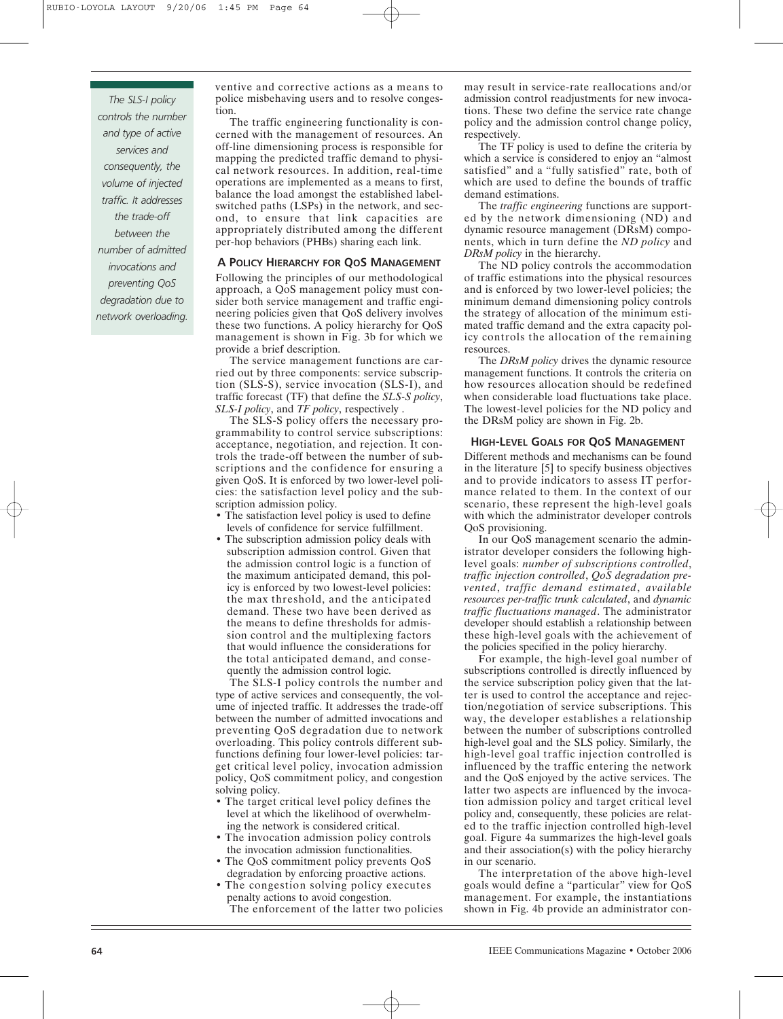*The SLS-I policy controls the number and type of active services and consequently, the volume of injected traffic. It addresses the trade-off between the number of admitted invocations and preventing QoS degradation due to network overloading.* ventive and corrective actions as a means to police misbehaving users and to resolve congestion.

The traffic engineering functionality is concerned with the management of resources. An off-line dimensioning process is responsible for mapping the predicted traffic demand to physical network resources. In addition, real-time operations are implemented as a means to first, balance the load amongst the established labelswitched paths (LSPs) in the network, and second, to ensure that link capacities are appropriately distributed among the different per-hop behaviors (PHBs) sharing each link.

### **A POLICY HIERARCHY FOR QOS MANAGEMENT**

Following the principles of our methodological approach, a QoS management policy must consider both service management and traffic engineering policies given that QoS delivery involves these two functions. A policy hierarchy for QoS management is shown in Fig. 3b for which we provide a brief description.

The service management functions are carried out by three components: service subscription (SLS-S), service invocation (SLS-I), and traffic forecast (TF) that define the *SLS-S policy*, *SLS-I policy*, and *TF policy*, respectively .

The SLS-S policy offers the necessary programmability to control service subscriptions: acceptance, negotiation, and rejection. It controls the trade-off between the number of subscriptions and the confidence for ensuring a given QoS. It is enforced by two lower-level policies: the satisfaction level policy and the subscription admission policy.

- The satisfaction level policy is used to define levels of confidence for service fulfillment.
- The subscription admission policy deals with subscription admission control. Given that the admission control logic is a function of the maximum anticipated demand, this policy is enforced by two lowest-level policies: the max threshold, and the anticipated demand. These two have been derived as the means to define thresholds for admission control and the multiplexing factors that would influence the considerations for the total anticipated demand, and consequently the admission control logic.

The SLS-I policy controls the number and type of active services and consequently, the volume of injected traffic. It addresses the trade-off between the number of admitted invocations and preventing QoS degradation due to network overloading. This policy controls different subfunctions defining four lower-level policies: target critical level policy, invocation admission policy, QoS commitment policy, and congestion solving policy.

- The target critical level policy defines the level at which the likelihood of overwhelming the network is considered critical.
- The invocation admission policy controls the invocation admission functionalities.
- The QoS commitment policy prevents QoS degradation by enforcing proactive actions.
- The congestion solving policy executes penalty actions to avoid congestion. The enforcement of the latter two policies

may result in service-rate reallocations and/or admission control readjustments for new invocations. These two define the service rate change policy and the admission control change policy, respectively.

The TF policy is used to define the criteria by which a service is considered to enjoy an "almost satisfied" and a "fully satisfied" rate, both of which are used to define the bounds of traffic demand estimations.

The *traffic engineering* functions are supported by the network dimensioning (ND) and dynamic resource management (DRsM) components, which in turn define the *ND policy* and *DRsM policy* in the hierarchy.

The ND policy controls the accommodation of traffic estimations into the physical resources and is enforced by two lower-level policies; the minimum demand dimensioning policy controls the strategy of allocation of the minimum estimated traffic demand and the extra capacity policy controls the allocation of the remaining resources.

The *DRsM policy* drives the dynamic resource management functions. It controls the criteria on how resources allocation should be redefined when considerable load fluctuations take place. The lowest-level policies for the ND policy and the DRsM policy are shown in Fig. 2b.

### **HIGH-LEVEL GOALS FOR QOS MANAGEMENT**

Different methods and mechanisms can be found in the literature [5] to specify business objectives and to provide indicators to assess IT performance related to them. In the context of our scenario, these represent the high-level goals with which the administrator developer controls QoS provisioning.

In our QoS management scenario the administrator developer considers the following highlevel goals: *number of subscriptions controlled*, *traffic injection controlled*, *QoS degradation prevented*, *traffic demand estimated*, *available resources per-traffic trunk calculated*, and *dynamic traffic fluctuations managed*. The administrator developer should establish a relationship between these high-level goals with the achievement of the policies specified in the policy hierarchy.

For example, the high-level goal number of subscriptions controlled is directly influenced by the service subscription policy given that the latter is used to control the acceptance and rejection/negotiation of service subscriptions. This way, the developer establishes a relationship between the number of subscriptions controlled high-level goal and the SLS policy. Similarly, the high-level goal traffic injection controlled is influenced by the traffic entering the network and the QoS enjoyed by the active services. The latter two aspects are influenced by the invocation admission policy and target critical level policy and, consequently, these policies are related to the traffic injection controlled high-level goal. Figure 4a summarizes the high-level goals and their association(s) with the policy hierarchy in our scenario.

The interpretation of the above high-level goals would define a "particular" view for QoS management. For example, the instantiations shown in Fig. 4b provide an administrator con-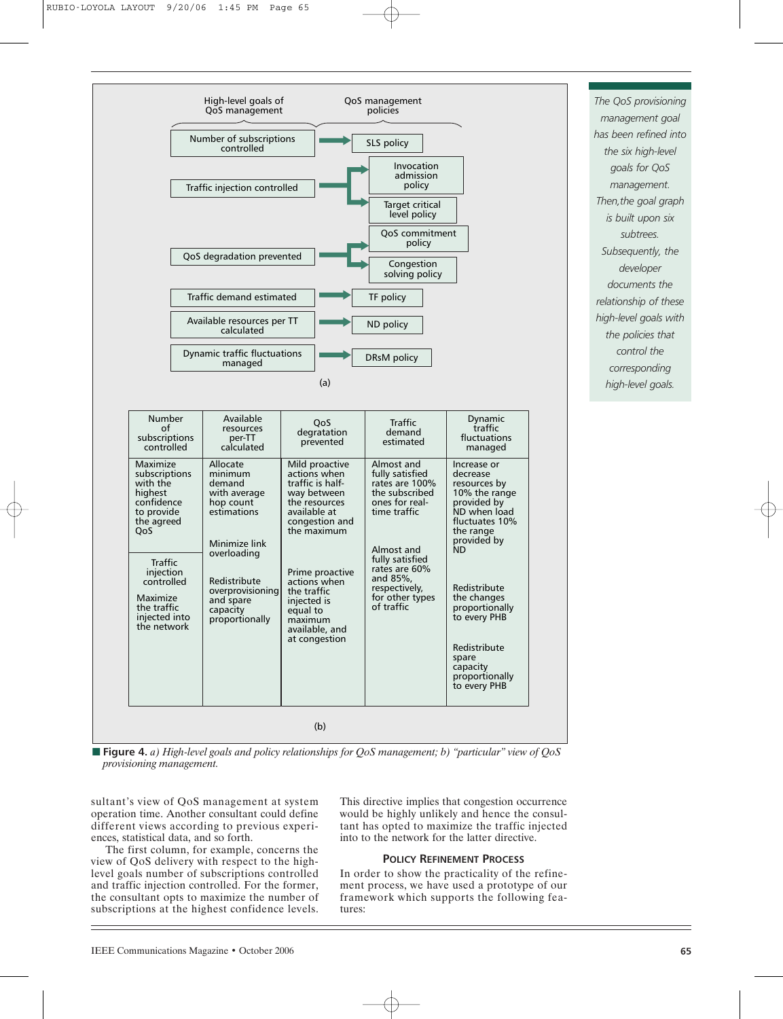

**■ Figure 4.** *a) High-level goals and policy relationships for QoS management; b) "particular" view of QoS provisioning management.*

sultant's view of QoS management at system operation time. Another consultant could define different views according to previous experiences, statistical data, and so forth.

The first column, for example, concerns the

This directive implies that congestion occurrence would be highly unlikely and hence the consultant has opted to maximize the traffic injected into to the network for the latter directive.

# **POLICY REFINEMENT PROCESS**

In order to show the practicality of the refinement process, we have used a prototype of our framework which supports the following features:

*The QoS provisioning management goal has been refined into the six high-level goals for QoS management. Then,the goal graph is built upon six subtrees. Subsequently, the developer documents the relationship of these high-level goals with the policies that control the corresponding high-level goals.*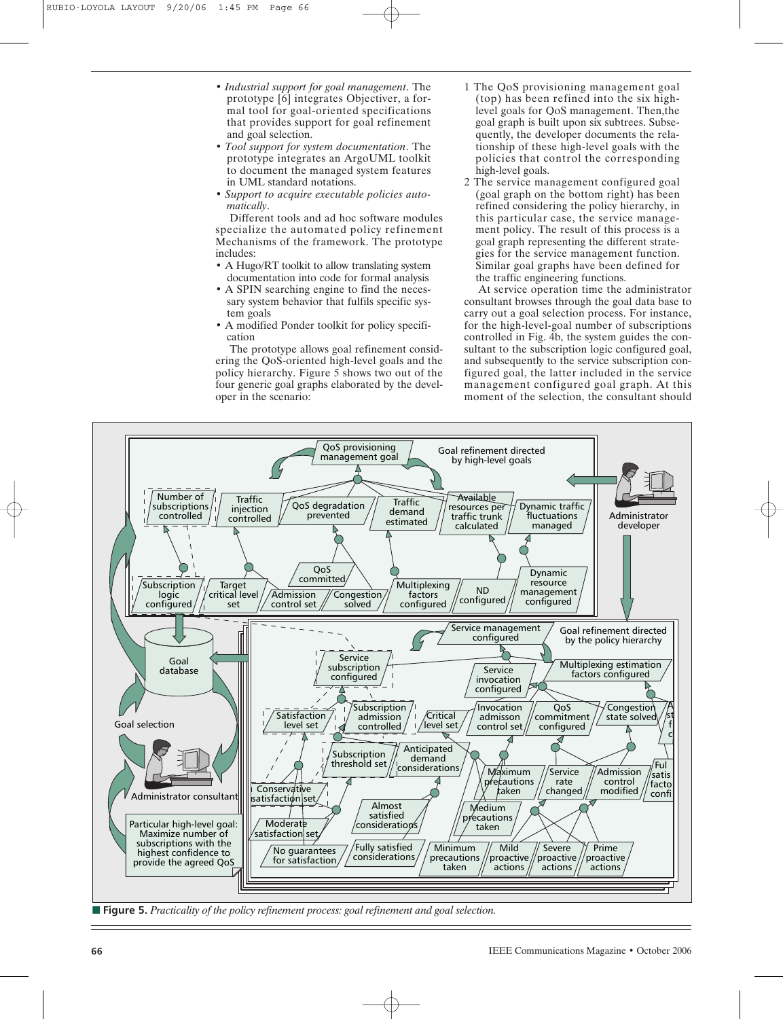- *Industrial support for goal management*. The prototype [6] integrates Objectiver, a formal tool for goal-oriented specifications that provides support for goal refinement and goal selection.
- *Tool support for system documentation*. The prototype integrates an ArgoUML toolkit to document the managed system features in UML standard notations.
- *Support to acquire executable policies automatically*.

Different tools and ad hoc software modules specialize the automated policy refinement Mechanisms of the framework. The prototype includes:

- A Hugo/RT toolkit to allow translating system documentation into code for formal analysis
- A SPIN searching engine to find the necessary system behavior that fulfils specific system goals
- A modified Ponder toolkit for policy specification

The prototype allows goal refinement considering the QoS-oriented high-level goals and the policy hierarchy. Figure 5 shows two out of the four generic goal graphs elaborated by the developer in the scenario:

- 1 The QoS provisioning management goal (top) has been refined into the six highlevel goals for QoS management. Then,the goal graph is built upon six subtrees. Subsequently, the developer documents the relationship of these high-level goals with the policies that control the corresponding high-level goals.
- 2 The service management configured goal (goal graph on the bottom right) has been refined considering the policy hierarchy, in this particular case, the service management policy. The result of this process is a goal graph representing the different strategies for the service management function. Similar goal graphs have been defined for the traffic engineering functions.

At service operation time the administrator consultant browses through the goal data base to carry out a goal selection process. For instance, for the high-level-goal number of subscriptions controlled in Fig. 4b, the system guides the consultant to the subscription logic configured goal, and subsequently to the service subscription configured goal, the latter included in the service management configured goal graph. At this moment of the selection, the consultant should



**■ Figure 5.** *Practicality of the policy refinement process: goal refinement and goal selection.*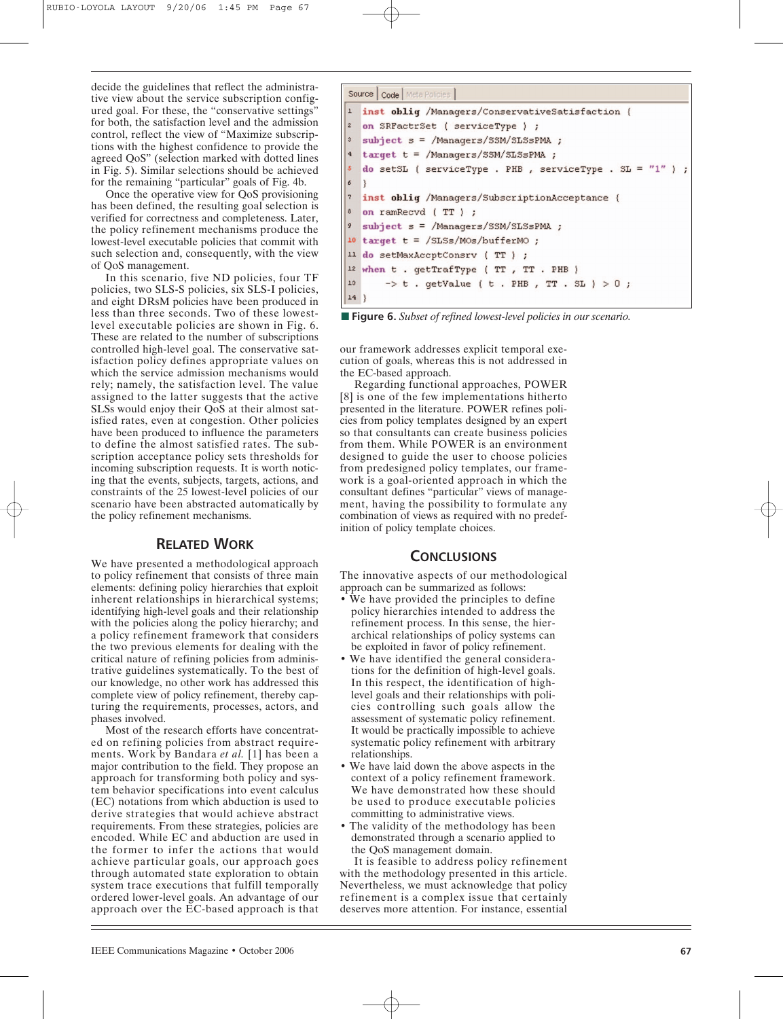decide the guidelines that reflect the administrative view about the service subscription configured goal. For these, the "conservative settings" for both, the satisfaction level and the admission control, reflect the view of "Maximize subscriptions with the highest confidence to provide the agreed QoS" (selection marked with dotted lines in Fig. 5). Similar selections should be achieved for the remaining "particular" goals of Fig. 4b.

Once the operative view for QoS provisioning has been defined, the resulting goal selection is verified for correctness and completeness. Later, the policy refinement mechanisms produce the lowest-level executable policies that commit with such selection and, consequently, with the view of QoS management.

In this scenario, five ND policies, four TF policies, two SLS-S policies, six SLS-I policies, and eight DRsM policies have been produced in less than three seconds. Two of these lowestlevel executable policies are shown in Fig. 6. These are related to the number of subscriptions controlled high-level goal. The conservative satisfaction policy defines appropriate values on which the service admission mechanisms would rely; namely, the satisfaction level. The value assigned to the latter suggests that the active SLSs would enjoy their QoS at their almost satisfied rates, even at congestion. Other policies have been produced to influence the parameters to define the almost satisfied rates. The subscription acceptance policy sets thresholds for incoming subscription requests. It is worth noticing that the events, subjects, targets, actions, and constraints of the 25 lowest-level policies of our scenario have been abstracted automatically by the policy refinement mechanisms.

# **RELATED WORK**

We have presented a methodological approach to policy refinement that consists of three main elements: defining policy hierarchies that exploit inherent relationships in hierarchical systems; identifying high-level goals and their relationship with the policies along the policy hierarchy; and a policy refinement framework that considers the two previous elements for dealing with the critical nature of refining policies from administrative guidelines systematically. To the best of our knowledge, no other work has addressed this complete view of policy refinement, thereby capturing the requirements, processes, actors, and phases involved.

Most of the research efforts have concentrated on refining policies from abstract requirements. Work by Bandara *et al.* [1] has been a major contribution to the field. They propose an approach for transforming both policy and system behavior specifications into event calculus (EC) notations from which abduction is used to derive strategies that would achieve abstract requirements. From these strategies, policies are encoded. While EC and abduction are used in the former to infer the actions that would achieve particular goals, our approach goes through automated state exploration to obtain system trace executions that fulfill temporally ordered lower-level goals. An advantage of our approach over the EC-based approach is that

```
Source | Code | Meta Policies
   inst obliq /Managers/ConservativeSatisfaction {
\overline{z}on SRFactrSet ( serviceType ) ;
\overline{3}subject s = /Managers/SSM/SLSsPMA ;
   target t = /Managers/SSM/SLSsPMA ;
   do setSL ( serviceType . PHB , serviceType . SL = "1" ) ;
6
   Þ
   inst oblig /Managers/SubscriptionAcceptance {
\circon ramRecvd (TT) ;
\mathcal{Q}subject s = /Managers/SSM/SLSsPMA ;
  target t = /SLSs/MOS/bufferMO;
1011 do setMaxAccptConsrv (TT) ;
12 when t . getTrafType ( TT , TT . PHB )
       \Rightarrow t . getValue ( t . PHB , TT . SL ) >0 ;
13
14}
```
■ **Figure 6.** *Subset of refined lowest-level policies in our scenario.* 

our framework addresses explicit temporal execution of goals, whereas this is not addressed in the EC-based approach.

Regarding functional approaches, POWER [8] is one of the few implementations hitherto presented in the literature. POWER refines policies from policy templates designed by an expert so that consultants can create business policies from them. While POWER is an environment designed to guide the user to choose policies from predesigned policy templates, our framework is a goal-oriented approach in which the consultant defines "particular" views of management, having the possibility to formulate any combination of views as required with no predefinition of policy template choices.

# **CONCLUSIONS**

The innovative aspects of our methodological approach can be summarized as follows:

- We have provided the principles to define policy hierarchies intended to address the refinement process. In this sense, the hierarchical relationships of policy systems can be exploited in favor of policy refinement.
- We have identified the general considerations for the definition of high-level goals. In this respect, the identification of highlevel goals and their relationships with policies controlling such goals allow the assessment of systematic policy refinement. It would be practically impossible to achieve systematic policy refinement with arbitrary relationships.
- We have laid down the above aspects in the context of a policy refinement framework. We have demonstrated how these should be used to produce executable policies committing to administrative views.
- The validity of the methodology has been demonstrated through a scenario applied to the QoS management domain.

It is feasible to address policy refinement with the methodology presented in this article. Nevertheless, we must acknowledge that policy refinement is a complex issue that certainly deserves more attention. For instance, essential